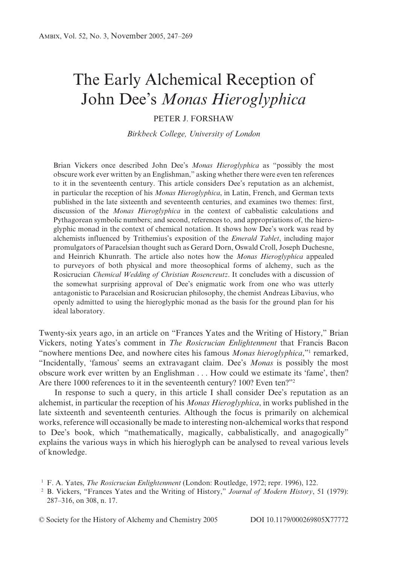## The Early Alchemical Reception of John Dee's *Monas Hieroglyphica*

## PETER J. FORSHAW

*Birkbeck College, University of London*

Brian Vickers once described John Dee's *Monas Hieroglyphica* as "possibly the most obscure work ever written by an Englishman," asking whether there were even ten references to it in the seventeenth century. This article considers Dee's reputation as an alchemist, in particular the reception of his *Monas Hieroglyphica*, in Latin, French, and German texts published in the late sixteenth and seventeenth centuries, and examines two themes: first, discussion of the *Monas Hieroglyphica* in the context of cabbalistic calculations and Pythagorean symbolic numbers; and second, references to, and appropriations of, the hieroglyphic monad in the context of chemical notation. It shows how Dee's work was read by alchemists influenced by Trithemius's exposition of the *Emerald Tablet*, including major promulgators of Paracelsian thought such as Gerard Dorn, Oswald Croll, Joseph Duchesne, and Heinrich Khunrath. The article also notes how the *Monas Hieroglyphica* appealed to purveyors of both physical and more theosophical forms of alchemy, such as the Rosicrucian *Chemical Wedding of Christian Rosencreutz*. It concludes with a discussion of the somewhat surprising approval of Dee's enigmatic work from one who was utterly antagonistic to Paracelsian and Rosicrucian philosophy, the chemist Andreas Libavius, who openly admitted to using the hieroglyphic monad as the basis for the ground plan for his ideal laboratory.

Twenty-six years ago, in an article on "Frances Yates and the Writing of History," Brian Vickers, noting Yates's comment in *The Rosicrucian Enlightenment* that Francis Bacon "nowhere mentions Dee, and nowhere cites his famous *Monas hieroglyphica*," remarked, "Incidentally, 'famous' seems an extravagant claim. Dee's *Monas* is possibly the most obscure work ever written by an Englishman . . . How could we estimate its 'fame', then? Are there 1000 references to it in the seventeenth century? 100? Even ten?"2

In response to such a query, in this article I shall consider Dee's reputation as an alchemist, in particular the reception of his *Monas Hieroglyphica*, in works published in the late sixteenth and seventeenth centuries. Although the focus is primarily on alchemical works, reference will occasionally be made to interesting non-alchemical works that respond to Dee's book, which "mathematically, magically, cabbalistically, and anagogically" explains the various ways in which his hieroglyph can be analysed to reveal various levels of knowledge.

<sup>1</sup> F. A. Yates, *The Rosicrucian Enlightenment* (London: Routledge, 1972; repr. 1996), 122.

<sup>2</sup> B. Vickers, "Frances Yates and the Writing of History," *Journal of Modern History*, 51 (1979): 287–316, on 308, n. 17.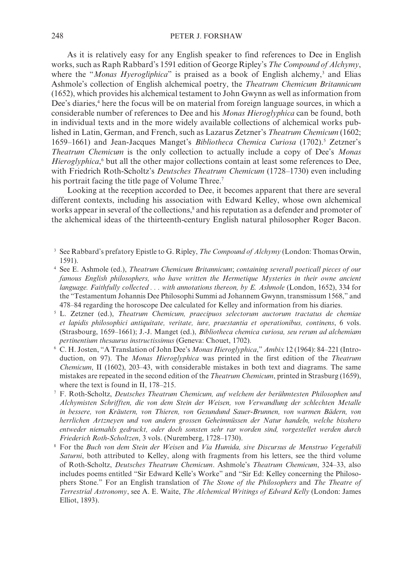As it is relatively easy for any English speaker to find references to Dee in English works, such as Raph Rabbard's 1591 edition of George Ripley's *The Compound of Alchymy*, where the "*Monas Hyerogliphica*" is praised as a book of English alchemy,<sup>3</sup> and Elias Ashmole's collection of English alchemical poetry, the *Theatrum Chemicum Britannicum* (1652), which provides his alchemical testament to John Gwynn as well as information from Dee's diaries,<sup>4</sup> here the focus will be on material from foreign language sources, in which a considerable number of references to Dee and his *Monas Hieroglyphica* can be found, both in individual texts and in the more widely available collections of alchemical works published in Latin, German, and French, such as Lazarus Zetzner's *Theatrum Chemicum* (1602; 1659–1661) and Jean-Jacques Manget's *Bibliotheca Chemica Curiosa* (1702).<sup>5</sup> Zetzner's *Theatrum Chemicum* is the only collection to actually include a copy of Dee's *Monas Hieroglyphica*,<sup>6</sup> but all the other major collections contain at least some references to Dee, with Friedrich Roth-Scholtz's *Deutsches Theatrum Chemicum* (1728–1730) even including his portrait facing the title page of Volume Three.<sup>7</sup>

Looking at the reception accorded to Dee, it becomes apparent that there are several different contexts, including his association with Edward Kelley, whose own alchemical works appear in several of the collections,<sup>8</sup> and his reputation as a defender and promoter of the alchemical ideas of the thirteenth-century English natural philosopher Roger Bacon.

- <sup>3</sup> See Rabbard's prefatory Epistle to G. Ripley, *The Compound of Alchymy* (London: Thomas Orwin, 1591).
- <sup>4</sup> See E. Ashmole (ed.), *Theatrum Chemicum Britannicum*; *containing severall poeticall pieces of our famous English philosophers, who have written the Hermetique Mysteries in their owne ancient language. Faithfully collected . . . with annotations thereon, by E. Ashmole* (London, 1652), 334 for the "Testamentum Johannis Dee Philosophi Summi ad Johannem Gwynn, transmissum 1568," and 478–84 regarding the horoscope Dee calculated for Kelley and information from his diaries.
- <sup>5</sup> L. Zetzner (ed.), *Theatrum Chemicum, praecipuos selectorum auctorum tractatus de chemiae et lapidis philosophici antiquitate, veritate, iure, praestantia et operationibus, continens*, 6 vols. (Strasbourg, 1659–1661); J.-J. Manget (ed.), *Bibliotheca chemica curiosa, seu rerum ad alchemiam pertinentium thesaurus instructissimus* (Geneva: Chouet, 1702).
- <sup>6</sup> C. H. Josten, "A Translation of John Dee's *Monas Hieroglyphica*," *Ambix* 12 (1964): 84–221 (Introduction, on 97). The *Monas Hieroglyphica* was printed in the first edition of the *Theatrum Chemicum*, II (1602), 203–43, with considerable mistakes in both text and diagrams. The same mistakes are repeated in the second edition of the *Theatrum Chemicum*, printed in Strasburg (1659), where the text is found in II, 178–215.
- <sup>7</sup> F. Roth-Scholtz, *Deutsches Theatrum Chemicum, auf welchem der berühmtesten Philosophen und Alchymisten Schrifften, die von dem Stein der Weisen, von Verwandlung der schlechten Metalle in bessere, von Kräutern, von Thieren, von Gesundund Sauer-Brunnen, von warmen Bädern, von herrlichen Artzneyen und von andern grossen Geheimnüssen der Natur handeln, welche bisshero entweder niemahls gedruckt, oder doch sonsten sehr rar worden sind, vorgestellet werden durch Friederich Roth-Scholtzen*, 3 vols. (Nuremberg, 1728–1730).
- <sup>8</sup> For the *Buch von dem Stein der Weisen* and *Via Humida, sive Discursus de Menstruo Vegetabili Saturni*, both attributed to Kelley, along with fragments from his letters, see the third volume of Roth-Scholtz, *Deutsches Theatrum Chemicum*. Ashmole's *Theatrum Chemicum*, 324–33, also includes poems entitled "Sir Edward Kelle's Worke" and "Sir Ed: Kelley concerning the Philosophers Stone." For an English translation of *The Stone of the Philosophers* and *The Theatre of Terrestrial Astronomy*, see A. E. Waite, *The Alchemical Writings of Edward Kelly* (London: James Elliot, 1893).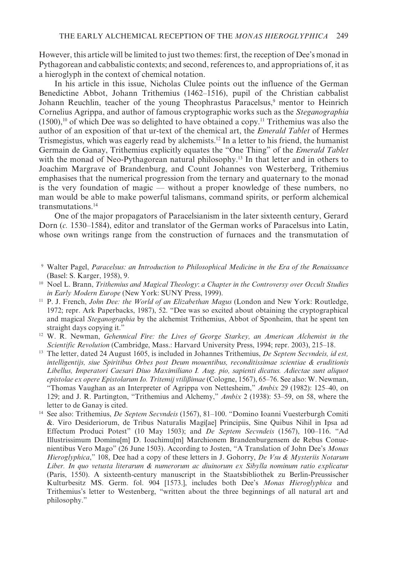However, this article will be limited to just two themes: first, the reception of Dee's monad in Pythagorean and cabbalistic contexts; and second, references to, and appropriations of, it as a hieroglyph in the context of chemical notation.

In his article in this issue, Nicholas Clulee points out the influence of the German Benedictine Abbot, Johann Trithemius (1462–1516), pupil of the Christian cabbalist Johann Reuchlin, teacher of the young Theophrastus Paracelsus,<sup>9</sup> mentor to Heinrich Cornelius Agrippa, and author of famous cryptographic works such as the *Steganographia*  $(1500)$ ,<sup>10</sup> of which Dee was so delighted to have obtained a copy.<sup>11</sup> Trithemius was also the author of an exposition of that ur-text of the chemical art, the *Emerald Tablet* of Hermes Trismegistus, which was eagerly read by alchemists.12 In a letter to his friend, the humanist Germain de Ganay, Trithemius explicitly equates the "One Thing" of the *Emerald Tablet* with the monad of Neo-Pythagorean natural philosophy.<sup>13</sup> In that letter and in others to Joachim Margrave of Brandenburg, and Count Johannes von Westerberg, Trithemius emphasises that the numerical progression from the ternary and quaternary to the monad is the very foundation of magic — without a proper knowledge of these numbers, no man would be able to make powerful talismans, command spirits, or perform alchemical transmutations.14

One of the major propagators of Paracelsianism in the later sixteenth century, Gerard Dorn (*c.* 1530–1584), editor and translator of the German works of Paracelsus into Latin, whose own writings range from the construction of furnaces and the transmutation of

- <sup>9</sup> Walter Pagel, *Paracelsus: an Introduction to Philosophical Medicine in the Era of the Renaissance* (Basel: S. Karger, 1958), 9.
- <sup>10</sup> Noel L. Brann, *Trithemius and Magical Theology*: *a Chapter in the Controversy over Occult Studies in Early Modern Europe* (New York: SUNY Press, 1999).
- <sup>11</sup> P. J. French, *John Dee: the World of an Elizabethan Magus* (London and New York: Routledge, 1972; repr. Ark Paperbacks, 1987), 52. "Dee was so excited about obtaining the cryptographical and magical *Steganographia* by the alchemist Trithemius, Abbot of Sponheim, that he spent ten straight days copying it."
- <sup>12</sup> W. R. Newman, *Gehennical Fire: the Lives of George Starkey, an American Alchemist in the Scientific Revolution* (Cambridge, Mass.: Harvard University Press, 1994; repr. 2003), 215–18.
- <sup>13</sup> The letter, dated 24 August 1605, is included in Johannes Trithemius, *De Septem Secvndeis, id est, intelligentijs, siue Spiritibus Orbes post Deum mouentibus, reconditissimae scientiae & eruditionis Libellus, Imperatori Caesari Diuo Maximiliano I. Aug. pio, sapienti dicatus. Adiectae sunt aliquot epistolae ex opere Epistolarum Io. Tritemij vtilißimae* (Cologne, 1567), 65–76. See also: W. Newman, "Thomas Vaughan as an Interpreter of Agrippa von Nettesheim," *Ambix* 29 (1982): 125–40, on 129; and J. R. Partington, "Trithemius and Alchemy," *Ambix* 2 (1938): 53–59, on 58, where the letter to de Ganay is cited.
- <sup>14</sup> See also: Trithemius, *De Septem Secvndeis* (1567), 81–100. "Domino Ioanni Vuesterburgh Comiti &. Viro Desideriorum, de Tribus Naturalis Magi[ae] Principiis, Sine Quibus Nihil in Ipsa ad Effectum Produci Potest" (10 May 1503); and *De Septem Secvndeis* (1567), 100–116. "Ad Illustrissimum Dominu[m] D. Ioachimu[m] Marchionem Brandenburgensem de Rebus Conuenientibus Vero Mago" (26 June 1503). According to Josten, "A Translation of John Dee's *Monas Hieroglyphica*," 108, Dee had a copy of these letters in J. Gohorry, *De Vsu & Mysteriis Notarum Liber. In quo vetusta literarum & numerorum ac diuinorum ex Sibylla nominum ratio explicatur* (Paris, 1550). A sixteenth-century manuscript in the Staatsbibliothek zu Berlin-Preussischer Kulturbesitz MS. Germ. fol. 904 [1573.], includes both Dee's *Monas Hieroglyphica* and Trithemius's letter to Westenberg, "written about the three beginnings of all natural art and philosophy."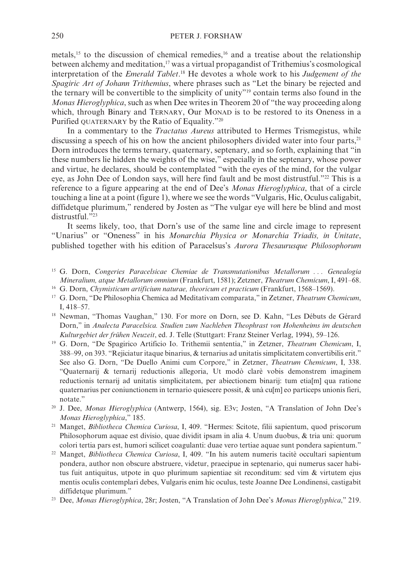metals,<sup>15</sup> to the discussion of chemical remedies,<sup>16</sup> and a treatise about the relationship between alchemy and meditation,<sup>17</sup> was a virtual propagandist of Trithemius's cosmological interpretation of the *Emerald Tablet*. 18 He devotes a whole work to his *Judgement of the Spagiric Art of Johann Trithemius*, where phrases such as "Let the binary be rejected and the ternary will be convertible to the simplicity of unity"19 contain terms also found in the *Monas Hieroglyphica*, such as when Dee writes in Theorem 20 of "the way proceeding along which, through Binary and TERNARY, Our MONAD is to be restored to its Oneness in a Purified QUATERNARY by the Ratio of Equality."20

In a commentary to the *Tractatus Aureus* attributed to Hermes Trismegistus, while discussing a speech of his on how the ancient philosophers divided water into four parts,<sup>21</sup> Dorn introduces the terms ternary, quaternary, septenary, and so forth, explaining that "in these numbers lie hidden the weights of the wise," especially in the septenary, whose power and virtue, he declares, should be contemplated "with the eyes of the mind, for the vulgar eye, as John Dee of London says, will here find fault and be most distrustful."<sup>22</sup> This is a reference to a figure appearing at the end of Dee's *Monas Hieroglyphica*, that of a circle touching a line at a point (figure 1), where we see the words "Vulgaris, Hic, Oculus caligabit, diffidetque plurimum," rendered by Josten as "The vulgar eye will here be blind and most distrustful."23

It seems likely, too, that Dorn's use of the same line and circle image to represent "Unarius" or "Oneness" in his *Monarchia Physica or Monarchia Triadis, in Unitate*, published together with his edition of Paracelsus's *Aurora Thesaurusque Philosophorum*

- <sup>15</sup> G. Dorn, *Congeries Paracelsicae Chemiae de Transmutationibus Metallorum . . . Genealogia Mineralium, atque Metallorum omnium* (Frankfurt, 1581); Zetzner, *Theatrum Chemicum*, I, 491–68.
- <sup>16</sup> G. Dorn, *Chymisticum artificium naturae, theoricum et practicum* (Frankfurt, 1568–1569).
- <sup>17</sup> G. Dorn, "De Philosophia Chemica ad Meditativam comparata," in Zetzner, *Theatrum Chemicum*, I, 418–57.
- <sup>18</sup> Newman, "Thomas Vaughan," 130. For more on Dorn, see D. Kahn, "Les Débuts de Gérard Dorn," in *Analecta Paracelsica. Studien zum Nachleben Theophrast von Hohenheims im deutschen Kulturgebiet der frühen Neuzeit*, ed. J. Telle (Stuttgart: Franz Steiner Verlag, 1994), 59–126.
- <sup>19</sup> G. Dorn, "De Spagirico Artificio Io. Trithemii sententia," in Zetzner, *Theatrum Chemicum*, I, 388–99, on 393. "Rejiciatur itaque binarius, & ternarius ad unitatis simplicitatem convertibilis erit." See also G. Dorn, "De Duello Animi cum Corpore," in Zetzner, *Theatrum Chemicum*, I, 338. "Quaternarij & ternarij reductionis allegoria, Ut modò clarè vobis demonstrem imaginem reductionis ternarij ad unitatis simplicitatem, per abiectionem binarij: tum etia[m] qua ratione quaternarius per coniunctionem in ternario quiescere possit, & unà cu[m] eo particeps unionis fieri, notate."
- <sup>20</sup> J. Dee, *Monas Hieroglyphica* (Antwerp, 1564), sig. E3v; Josten, "A Translation of John Dee's *Monas Hieroglyphica*," 185.
- <sup>21</sup> Manget, *Bibliotheca Chemica Curiosa*, I, 409. "Hermes: Scitote, filii sapientum, quod priscorum Philosophorum aquae est divisio, quae dividit ipsam in alia 4. Unum duobus, & tria uni: quorum colori tertia pars est, humori scilicet coagulanti: duae vero tertiae aquae sunt pondera sapientum."
- <sup>22</sup> Manget, *Bibliotheca Chemica Curiosa*, I, 409. "In his autem numeris tacitè occultari sapientum pondera, author non obscure abstruere, videtur, praecipue in septenario, qui numerus sacer habitus fuit antiquitus, utpote in quo plurimum sapientiae sit reconditum: sed vim & virtutem ejus mentis oculis contemplari debes, Vulgaris enim hic oculus, teste Joanne Dee Londinensi, castigabit diffidetque plurimum."
- <sup>23</sup> Dee, *Monas Hieroglyphica*, 28r; Josten, "A Translation of John Dee's *Monas Hieroglyphica*," 219.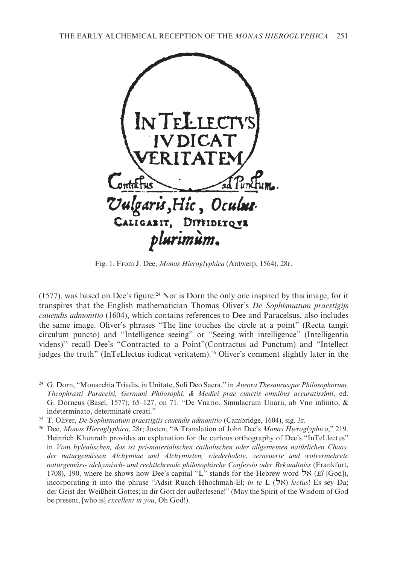

Fig. 1. From J. Dee, *Monas Hieroglyphica* (Antwerp, 1564), 28r.

 $(1577)$ , was based on Dee's figure.<sup>24</sup> Nor is Dorn the only one inspired by this image, for it transpires that the English mathematician Thomas Oliver's *De Sophismatum praestigijs cauendis admonitio* (1604), which contains references to Dee and Paracelsus, also includes the same image. Oliver's phrases "The line touches the circle at a point" (Recta tangit circulum puncto) and "Intelligence seeing" or "Seeing with intelligence" (Intelligentia videns)25 recall Dee's "Contracted to a Point"(Contractus ad Punctum) and "Intellect judges the truth" (InTeLlectus iudicat veritatem).<sup>26</sup> Oliver's comment slightly later in the

- <sup>24</sup> G. Dorn, "Monarchia Triadis, in Unitate, Soli Deo Sacra," in *Aurora Thesaurusque Philosophorum, Theophrasti Paracelsi, Germani Philosophi, & Medici prae cunctis omnibus accuratissimi*, ed. G. Dorneus (Basel, 1577), 65–127, on 71. "De Vnario, Simulacrum Unarii, ab Vno infinito, & indeterminato, determinatè creati."
- <sup>25</sup> T. Oliver, *De Sophismatum praestigijs cauendis admonitio* (Cambridge, 1604), sig. 3r.

<sup>26</sup> Dee, *Monas Hieroglyphica*, 28r; Josten, "A Translation of John Dee's *Monas Hieroglyphica*," 219. Heinrich Khunrath provides an explanation for the curious orthography of Dee's "InTeLlectus" in *Vom hylealischen, das ist pri-materialischen catholischen oder allgemeinen natürlichen Chaos, der naturgemässen Alchymiae und Alchymisten, wiederholete, verneuerte und wolvermehrete naturgemäss- alchymisch- und rechtlehrende philosophische Confessio oder Bekandtniss* (Frankfurt, 1708), 190, where he shows how Dee's capital "L" stands for the Hebrew word  $\forall$ N (*El* [God]), incorporating it into the phrase "Adsit Ruach Hhochmah-El; *in te* L (אל) *lectus*! Es sey Da; der Geist der Weißheit Gottes; in dir Gott der außerlesene!" (May the Spirit of the Wisdom of God be present, [who is] *excellent in you*, Oh God!).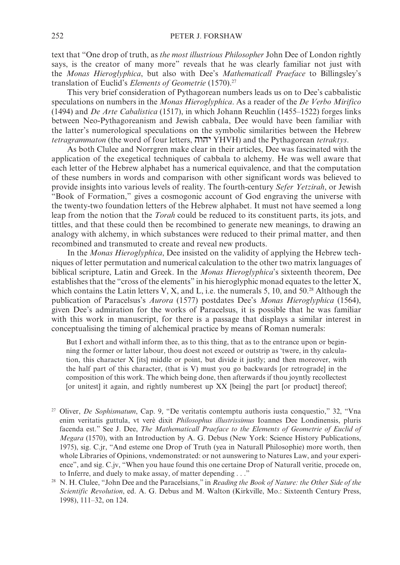text that "One drop of truth, as *the most illustrious Philosopher* John Dee of London rightly says, is the creator of many more" reveals that he was clearly familiar not just with the *Monas Hieroglyphica*, but also with Dee's *Mathematicall Praeface* to Billingsley's translation of Euclid's *Elements of Geometrie* (1570).<sup>27</sup>

This very brief consideration of Pythagorean numbers leads us on to Dee's cabbalistic speculations on numbers in the *Monas Hieroglyphica*. As a reader of the *De Verbo Mirifico* (1494) and *De Arte Cabalistica* (1517), in which Johann Reuchlin (1455–1522) forges links between Neo-Pythagoreanism and Jewish cabbala, Dee would have been familiar with the latter's numerological speculations on the symbolic similarities between the Hebrew tetragrammaton (the word of four letters, יהוה YHVH) and the Pythagorean *tetraktys*.

As both Clulee and Norrgren make clear in their articles, Dee was fascinated with the application of the exegetical techniques of cabbala to alchemy. He was well aware that each letter of the Hebrew alphabet has a numerical equivalence, and that the computation of these numbers in words and comparison with other significant words was believed to provide insights into various levels of reality. The fourth-century *Sefer Yetzirah*, or Jewish "Book of Formation," gives a cosmogonic account of God engraving the universe with the twenty-two foundation letters of the Hebrew alphabet. It must not have seemed a long leap from the notion that the *Torah* could be reduced to its constituent parts, its jots, and tittles, and that these could then be recombined to generate new meanings, to drawing an analogy with alchemy, in which substances were reduced to their primal matter, and then recombined and transmuted to create and reveal new products.

In the *Monas Hieroglyphica*, Dee insisted on the validity of applying the Hebrew techniques of letter permutation and numerical calculation to the other two matrix languages of biblical scripture, Latin and Greek. In the *Monas Hieroglyphica*'s sixteenth theorem, Dee establishes that the "cross of the elements" in his hieroglyphic monad equates to the letter X, which contains the Latin letters V, X, and L, i.e. the numerals 5, 10, and  $50<sup>28</sup>$  Although the publication of Paracelsus's *Aurora* (1577) postdates Dee's *Monas Hieroglyphica* (1564), given Dee's admiration for the works of Paracelsus, it is possible that he was familiar with this work in manuscript, for there is a passage that displays a similar interest in conceptualising the timing of alchemical practice by means of Roman numerals:

But I exhort and withall inform thee, as to this thing, that as to the entrance upon or beginning the former or latter labour, thou doest not exceed or outstrip as 'twere, in thy calculation, this character X [its] middle or point, but divide it justly; and then moreover, with the half part of this character, (that is V) must you go backwards [or retrograde] in the composition of this work. The which being done, then afterwards if thou joyntly recollectest [or unitest] it again, and rightly numberest up XX [being] the part [or product] thereof;

- <sup>27</sup> Oliver, *De Sophismatum*, Cap. 9, "De veritatis contemptu authoris iusta conquestio," 32, "Vna enim veritatis guttula, vt verè dixit *Philosophus illustrissimus* Ioannes Dee Londinensis, pluris facenda est." See J. Dee, *The Mathematicall Praeface to the Elements of Geometrie of Euclid of Megara* (1570), with an Introduction by A. G. Debus (New York: Science History Publications, 1975), sig. C.jr, "And esteme one Drop of Truth (yea in Naturall Philosophie) more worth, then whole Libraries of Opinions, vndemonstrated: or not aunswering to Natures Law, and your experience", and sig. C.jv, "When you haue found this one certaine Drop of Naturall veritie, procede on, to Inferre, and duely to make assay, of matter depending . . ."
- <sup>28</sup> N. H. Clulee, "John Dee and the Paracelsians," in *Reading the Book of Nature: the Other Side of the Scientific Revolution*, ed. A. G. Debus and M. Walton (Kirkville, Mo.: Sixteenth Century Press, 1998), 111–32, on 124.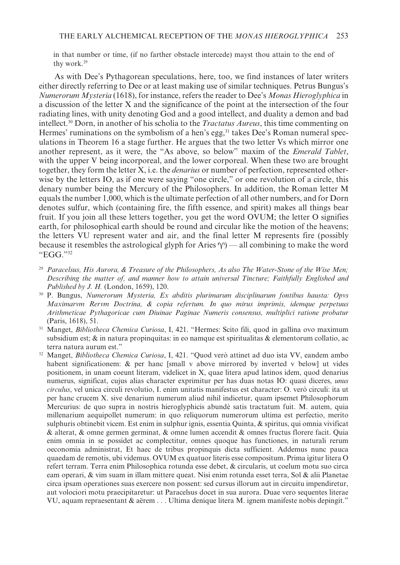in that number or time, (if no farther obstacle intercede) mayst thou attain to the end of thy work.29

As with Dee's Pythagorean speculations, here, too, we find instances of later writers either directly referring to Dee or at least making use of similar techniques. Petrus Bungus's *Numerorum Mysteria* (1618), for instance, refers the reader to Dee's *Monas Hieroglyphica* in a discussion of the letter X and the significance of the point at the intersection of the four radiating lines, with unity denoting God and a good intellect, and duality a demon and bad intellect.30 Dorn, in another of his scholia to the *Tractatus Aureus*, this time commenting on Hermes' ruminations on the symbolism of a hen's egg, $3<sup>1</sup>$  takes Dee's Roman numeral speculations in Theorem 16 a stage further. He argues that the two letter Vs which mirror one another represent, as it were, the "As above, so below" maxim of the *Emerald Tablet*, with the upper V being incorporeal, and the lower corporeal. When these two are brought together, they form the letter X, i.e. the *denarius* or number of perfection, represented otherwise by the letters IO, as if one were saying "one circle," or one revolution of a circle, this denary number being the Mercury of the Philosophers. In addition, the Roman letter M equals the number 1,000, which is the ultimate perfection of all other numbers, and for Dorn denotes sulfur, which (containing fire, the fifth essence, and spirit) makes all things bear fruit. If you join all these letters together, you get the word OVUM; the letter O signifies earth, for philosophical earth should be round and circular like the motion of the heavens; the letters VU represent water and air, and the final letter M represents fire (possibly because it resembles the astrological glyph for Aries  $\gamma$  — all combining to make the word "EGG<sup>"32</sup>

- <sup>29</sup> *Paracelsus, His Aurora, & Treasure of the Philosophers, As also The Water-Stone of the Wise Men; Describing the matter of, and manner how to attain universal Tincture; Faithfully Englished and Published by J. H.* (London, 1659), 120.
- <sup>30</sup> P. Bungus, *Numerorum Mysteria, Ex abditis plurimarum disciplinarum fontibus hausta: Opvs Maximarvm Rervm Doctrina, & copia refertum. In quo mirus imprimis, idemque perpetuus Arithmeticae Pythagoricae cum Diuinae Paginae Numeris consensus, multiplici ratione probatur* (Paris, 1618), 51.
- <sup>31</sup> Manget, *Bibliotheca Chemica Curiosa*, I, 421. "Hermes: Scito fili, quod in gallina ovo maximum subsidium est;  $\&$  in natura propinquitas: in eo namque est spiritualitas  $\&$  elementorum collatio, ac terra natura aurum est."
- <sup>32</sup> Manget, *Bibliotheca Chemica Curiosa*, I, 421. "Quod verò attinet ad duo ista VV, eandem ambo habent significationem: & per hanc [small v above mirrored by inverted v below] ut vides positionem, in unam coeunt literam, videlicet in X, quae litera apud latinos idem, quod denarius numerus, significat, cujus alias character exprimitur per has duas notas IO: quasi diceres, *unus circulus*, vel unica circuli revolutio, I. enim unitatis manifestus est character: O. verò circuli: ita ut per hanc crucem X. sive denarium numerum aliud nihil indicetur, quam ipsemet Philosophorum Mercurius: de quo supra in nostris hieroglyphicis abundè satis tractatum fuit. M. autem, quia millenarium aequipollet numerum: in quo reliquorum numerorum ultima est perfectio, merito sulphuris obtinebit vicem. Est enim in sulphur ignis, essentia Quinta, & spiritus, qui omnia vivificat & alterat, & omne germen germinat, & omne lumen accendit & omnes fructus florere facit. Quia enim omnia in se possidet ac complectitur, omnes quoque has functiones, in naturali rerum oeconomia administrat, Et haec de tribus propinquis dicta sufficient. Addemus nunc pauca quaedam de remotis, ubi videmus. OVUM ex quatuor literis esse compositum. Prima igitur litera O refert terram. Terra enim Philosophica rotunda esse debet, & circularis, ut coelum motu suo circa eam operari, & vim suam in illam mittere queat. Nisi enim rotunda esset terra, Sol & alii Planetae circa ipsam operationes suas exercere non possent: sed cursus illorum aut in circuitu impendiretur, aut volociori motu praecipitaretur: ut Paracelsus docet in sua aurora. Duae vero sequentes literae VU, aquam repraesentant & aërem . . . Ultima denique litera M. ignem manifeste nobis depingit."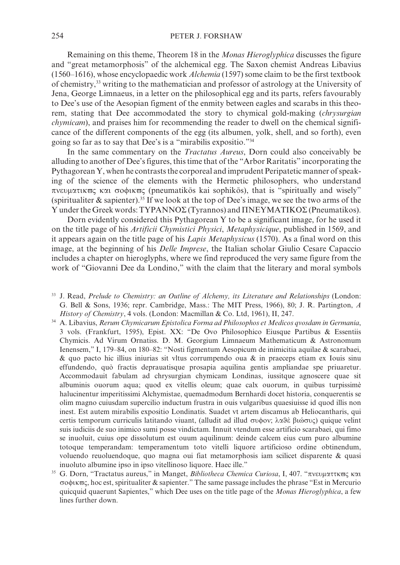Remaining on this theme, Theorem 18 in the *Monas Hieroglyphica* discusses the figure and "great metamorphosis" of the alchemical egg. The Saxon chemist Andreas Libavius (1560–1616), whose encyclopaedic work *Alchemia* (1597) some claim to be the first textbook of chemistry,33 writing to the mathematician and professor of astrology at the University of Jena, George Limnaeus, in a letter on the philosophical egg and its parts, refers favourably to Dee's use of the Aesopian figment of the enmity between eagles and scarabs in this theorem, stating that Dee accommodated the story to chymical gold-making (*chrysurgian chymicam*), and praises him for recommending the reader to dwell on the chemical significance of the different components of the egg (its albumen, yolk, shell, and so forth), even going so far as to say that Dee's is a "mirabilis expositio."34

In the same commentary on the *Tractatus Aureus*, Dorn could also conceivably be alluding to another of Dee's figures, this time that of the "Arbor Raritatis" incorporating the Pythagorean Y, when he contrasts the corporeal and imprudent Peripatetic manner of speaking of the science of the elements with the Hermetic philosophers, who understand  $\pi$ νευματικ $\pi$ ς και σοφικ $\pi$ ς (pneumatikos kai sophikos), that is "spiritually and wisely" (spiritualiter  $\&$  sapienter).<sup>35</sup> If we look at the top of Dee's image, we see the two arms of the Y under the Greek words: TYPANNOZ (Tyrannos) and  $\Pi$ NEYMATIKOZ (Pneumatikos).

Dorn evidently considered this Pythagorean Y to be a significant image, for he used it on the title page of his *Artificii Chymistici Physici*, *Metaphysicique*, published in 1569, and it appears again on the title page of his *Lapis Metaphysicus* (1570). As a final word on this image, at the beginning of his *Delle Imprese*, the Italian scholar Giulio Cesare Capaccio includes a chapter on hieroglyphs, where we find reproduced the very same figure from the work of "Giovanni Dee da Londino," with the claim that the literary and moral symbols

- <sup>33</sup> J. Read, *Prelude to Chemistry: an Outline of Alchemy, its Literature and Relationships* (London: G. Bell & Sons, 1936; repr. Cambridge, Mass.: The MIT Press, 1966), 80; J. R. Partington, *A History of Chemistry*, 4 vols. (London: Macmillan & Co. Ltd, 1961), II, 247.
- <sup>34</sup> A. Libavius, *Rerum Chymicarum Epistolica Forma ad Philosophos et Medicos qvosdam in Germania*, 3 vols. (Frankfurt, 1595), Epist. XX: "De Ovo Philosophico Eiusque Partibus & Essentiis Chymicis. Ad Virum Ornatiss. D. M. Georgium Limnaeum Mathematicum & Astronomum Ienensem," I, 179–84, on 180–82: "Nosti figmentum Aesopicum de inimicitia aquilae & scarabaei,  $\&$  quo pacto hic illius iniurias sit vltus corrumpendo oua  $\&$  in praeceps etiam ex Iouis sinu effundendo, quò fractis deprauatisque prosapia aquilina gentis ampliandae spe priuaretur. Accommodauit fabulam ad chrysurgian chymicam Londinas, iussitque agnoscere quae sit albuminis ouorum aqua; quod ex vitellis oleum; quae calx ouorum, in quibus turpissimè halucinentur imperitissimi Alchymistae, quemadmodum Bernhardi docet historia, conquerentis se olim magno cuiusdam supercilio inductum frustra in ouis vulgaribus quaesiuisse id quod illis non inest. Est autem mirabilis expositio Londinatis. Suadet vt artem discamus ab Heliocantharis, qui certis temporum curriculis latitando viuant, (alludit ad illud συφον; λαθέ βιώσυς) quique velint suis iudiciis de suo inimico sumi posse vindictam. Innuit vtendum esse artificio scarabaei, qui fimo se inuoluit, cuius ope dissolutum est ouum aquilinum: deinde calcem eius cum puro albumine totoque temperandam: temperamentum toto vitelli liquore artificioso ordine obtinendum, voluendo reuoluendoque, quo magna oui fiat metamorphosis iam scilicet disparente & quasi inuoluto albumine ipso in ipso vitellinoso liquore. Haec ille."
- <sup>35</sup> G. Dorn, "Tractatus aureus," in Manget, *Bibliotheca Chemica Curiosa*, Ι, 407. "πνευματτκ<del>ω</del>ς και sowikuz, hoc est, spiritualiter & sapienter." The same passage includes the phrase "Est in Mercurio quicquid quaerunt Sapientes," which Dee uses on the title page of the *Monas Hieroglyphica*, a few lines further down.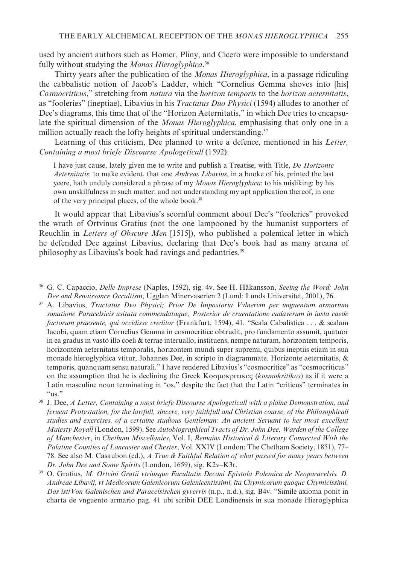used by ancient authors such as Homer, Pliny, and Cicero were impossible to understand fully without studying the *Monas Hieroglyphica*. 36

Thirty years after the publication of the *Monas Hieroglyphica*, in a passage ridiculing the cabbalistic notion of Jacob's Ladder, which "Cornelius Gemma shoves into [his] *Cosmocriticus*," stretching from *natura* via the *horizon temporis* to the *horizon aeternitatis*, as "fooleries" (ineptiae), Libavius in his *Tractatus Duo Physici* (1594) alludes to another of Dee's diagrams, this time that of the "Horizon Aeternitatis," in which Dee tries to encapsulate the spiritual dimension of the *Monas Hieroglyphica*, emphasising that only one in a million actually reach the lofty heights of spiritual understanding.<sup>37</sup>

Learning of this criticism, Dee planned to write a defence, mentioned in his *Letter, Containing a most briefe Discourse Apologeticall* (1592):

I have just cause, lately given me to write and publish a Treatise, with Title, *De Horizonte Aeternitatis*: to make evident, that one *Andreas Libavius*, in a booke of his, printed the last yeere, hath unduly considered a phrase of my *Monas Hieroglyphica*: to his misliking: by his own unskilfulness in such matter: and not understanding my apt application thereof, in one of the very principal places, of the whole book.<sup>38</sup>

It would appear that Libavius's scornful comment about Dee's "fooleries" provoked the wrath of Ortvinus Gratius (not the one lampooned by the humanist supporters of Reuchlin in *Letters of Obscure Men* [1515]), who published a polemical letter in which he defended Dee against Libavius, declaring that Dee's book had as many arcana of philosophy as Libavius's book had ravings and pedantries.<sup>39</sup>

- <sup>36</sup> G. C. Capaccio, *Delle Imprese* (Naples, 1592), sig. 4v. See H. Håkansson, *Seeing the Word: John Dee and Renaissance Occultism*, Ugglan Minervaserien 2 (Lund: Lunds Universitet, 2001), 76.
- <sup>37</sup> A. Libavius, *Tractatus Dvo Physici; Prior De Impostoria Vvlnervm per unguentum armarium sanatione Paracelsicis usitata commendataque; Posterior de cruentatione cadaverum in iusta caede factorum praesente, qui occidisse creditor* (Frankfurt, 1594), 41. "Scala Cabalistica . . . & scalam Iacobi, quam etiam Cornelius Gemma in cosmocritice obtrudit, pro fundamento assumit, quatuor in ea gradus in vasto illo coeli & terrae interuallo, instituens, nempe naturam, horizontem temporis, horizontem aeternitatis temporalis, horizontem mundi super supremi, quibus ineptiis etiam in sua monade hieroglyphica vtitur, Johannes Dee, in scripto in diagrammate. Horizonte aeternitatis, & temporis, quanquam sensu naturali." I have rendered Libavius's "cosmocritice" as "cosmocriticus" on the assumption that he is declining the Greek Kosmokritikoz (*kosmokritikos*) as if it were a Latin masculine noun terminating in "os," despite the fact that the Latin "criticus" terminates in  $``us."$
- <sup>38</sup> J. Dee, *A Letter, Containing a most briefe Discourse Apologeticall with a plaine Demonstration, and feruent Protestation, for the lawfull, sincere, very faithfull and Christian course, of the Philosophicall studies and exercises, of a certaine studious Gentleman: An ancient Seruant to her most excellent Maiesty Royall* (London, 1599). See *Autobiographical Tracts of Dr. John Dee, Warden of the College of Manchester*, in *Chetham Miscellanies*, Vol. I, *Remains Historical & Literary Connected With the Palatine Counties of Lancaster and Chester*, Vol. XXIV (London: The Chetham Society, 1851), 77– 78. See also M. Casaubon (ed.), *A True & Faithful Relation of what passed for many years between Dr. John Dee and Some Spirits* (London, 1659), sig. K2v–K3r.
- <sup>39</sup> O. Gratius, *M. Ortvini Gratii vtriusque Facultatis Decani Epistola Polemica de Neoparacelsis. D. Andreae Libavij, vt Medicorum Galenicorum Galenicentissimi, ita Chymicorum quoque Chymicissimi, Das ist/Von Galenischen und Paracelsischen gvverris* (n.p., n.d.), sig. B4v. "Simile axioma ponit in charta de vnguento armario pag. 41 ubi scribit DEE Londinensis in sua monade Hieroglyphica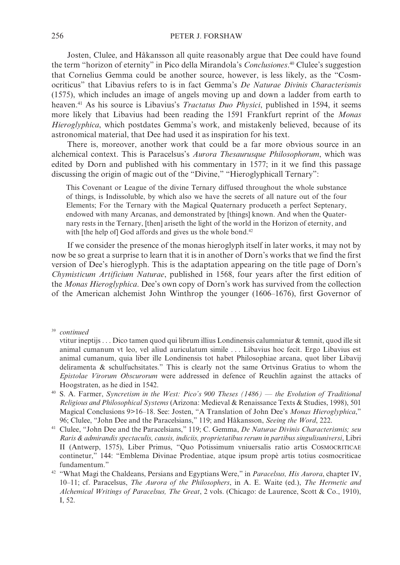Josten, Clulee, and Håkansson all quite reasonably argue that Dee could have found the term "horizon of eternity" in Pico della Mirandola's *Conclusiones*. 40 Clulee's suggestion that Cornelius Gemma could be another source, however, is less likely, as the "Cosmocriticus" that Libavius refers to is in fact Gemma's *De Naturae Divinis Characterismis* (1575), which includes an image of angels moving up and down a ladder from earth to heaven.41 As his source is Libavius's *Tractatus Duo Physici*, published in 1594, it seems more likely that Libavius had been reading the 1591 Frankfurt reprint of the *Monas Hieroglyphica*, which postdates Gemma's work, and mistakenly believed, because of its astronomical material, that Dee had used it as inspiration for his text.

There is, moreover, another work that could be a far more obvious source in an alchemical context. This is Paracelsus's *Aurora Thesaurusque Philosophorum*, which was edited by Dorn and published with his commentary in 1577; in it we find this passage discussing the origin of magic out of the "Divine," "Hieroglyphicall Ternary":

This Covenant or League of the divine Ternary diffused throughout the whole substance of things, is Indissoluble, by which also we have the secrets of all nature out of the four Elements; For the Ternary with the Magical Quaternary produceth a perfect Septenary, endowed with many Arcanas, and demonstrated by [things] known. And when the Quaternary rests in the Ternary, [then] ariseth the light of the world in the Horizon of eternity, and with [the help of] God affords and gives us the whole bond.<sup>42</sup>

If we consider the presence of the monas hieroglyph itself in later works, it may not by now be so great a surprise to learn that it is in another of Dorn's works that we find the first version of Dee's hieroglyph. This is the adaptation appearing on the title page of Dorn's *Chymisticum Artificium Naturae*, published in 1568, four years after the first edition of the *Monas Hieroglyphica*. Dee's own copy of Dorn's work has survived from the collection of the American alchemist John Winthrop the younger (1606–1676), first Governor of

<sup>39</sup> *continued*

vtitur ineptijs . . . Dico tamen quod qui librum illius Londinensis calumniatur & temnit, quod ille sit animal cumanum vt leo, vel aliud auriculatum simile . . . Libavius hoc fecit. Ergo Libavius est animal cumanum, quia liber ille Londinensis tot habet Philosophiae arcana, quot liber Libavij deliramenta & schulfuchsitates." This is clearly not the same Ortvinus Gratius to whom the *Epistolae Virorum Obscurorum* were addressed in defence of Reuchlin against the attacks of Hoogstraten, as he died in 1542.

- <sup>40</sup> S. A. Farmer, *Syncretism in the West: Pico's 900 Theses (1486) the Evolution of Traditional Religious and Philosophical Systems* (Arizona: Medieval & Renaissance Texts & Studies, 1998), 501 Magical Conclusions 9>16–18. See: Josten, "A Translation of John Dee's *Monas Hieroglyphica*," 96; Clulee, "John Dee and the Paracelsians," 119; and Håkansson, *Seeing the Word*, 222.
- <sup>41</sup> Clulee, "John Dee and the Paracelsians," 119; C. Gemma, *De Naturae Divinis Characterismis; seu Raris & admirandis spectaculis, causis, indiciis, proprietatibus rerum in partibus singulisuniversi*, Libri II (Antwerp, 1575), Liber Primus, "Quo Potissimum vniuersalis ratio artis COSMOCRITICAE continetur," 144: "Emblema Divinae Prodentiae, atque ipsum propè artis totius cosmocriticae fundamentum."
- <sup>42</sup> "What Magi the Chaldeans, Persians and Egyptians Were," in *Paracelsus, His Aurora*, chapter IV, 10–11; cf. Paracelsus, *The Aurora of the Philosophers*, in A. E. Waite (ed.), *The Hermetic and Alchemical Writings of Paracelsus, The Great*, 2 vols. (Chicago: de Laurence, Scott & Co., 1910), I, 52.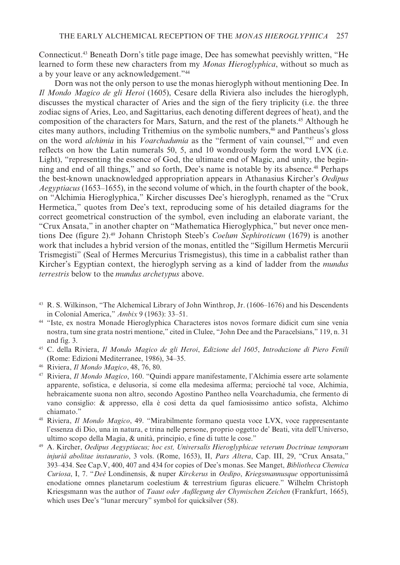Connecticut.43 Beneath Dorn's title page image, Dee has somewhat peevishly written, "He learned to form these new characters from my *Monas Hieroglyphica*, without so much as a by your leave or any acknowledgement."44

Dorn was not the only person to use the monas hieroglyph without mentioning Dee. In *Il Mondo Magico de gli Heroi* (1605), Cesare della Riviera also includes the hieroglyph, discusses the mystical character of Aries and the sign of the fiery triplicity (i.e. the three zodiac signs of Aries, Leo, and Sagittarius, each denoting different degrees of heat), and the composition of the characters for Mars, Saturn, and the rest of the planets.45 Although he cites many authors, including Trithemius on the symbolic numbers,<sup>46</sup> and Pantheus's gloss on the word *alchimia* in his *Voarchadumia* as the "ferment of vain counsel,"47 and even reflects on how the Latin numerals 50, 5, and 10 wondrously form the word LVX (i.e. Light), "representing the essence of God, the ultimate end of Magic, and unity, the beginning and end of all things," and so forth, Dee's name is notable by its absence.48 Perhaps the best-known unacknowledged appropriation appears in Athanasius Kircher's *Oedipus Aegyptiacus* (1653–1655), in the second volume of which, in the fourth chapter of the book, on "Alchimia Hieroglyphica," Kircher discusses Dee's hieroglyph, renamed as the "Crux Hermetica," quotes from Dee's text, reproducing some of his detailed diagrams for the correct geometrical construction of the symbol, even including an elaborate variant, the "Crux Ansata," in another chapter on "Mathematica Hieroglyphica," but never once mentions Dee (figure 2).49 Johann Christoph Steeb's *Coelum Sephiroticum* (1679) is another work that includes a hybrid version of the monas, entitled the "Sigillum Hermetis Mercurii Trismegisti" (Seal of Hermes Mercurius Trismegistus), this time in a cabbalist rather than Kircher's Egyptian context, the hieroglyph serving as a kind of ladder from the *mundus terrestris* below to the *mundus archetypus* above.

- <sup>43</sup> R. S. Wilkinson, "The Alchemical Library of John Winthrop, Jr. (1606–1676) and his Descendents in Colonial America," *Ambix* 9 (1963): 33–51.
- <sup>44</sup> "Iste, ex nostra Monade Hieroglyphica Characteres istos novos formare didicit cum sine venia nostra, tum sine grata nostri mentione," cited in Clulee, "John Dee and the Paracelsians," 119, n. 31 and fig. 3.
- <sup>45</sup> C. della Riviera, *Il Mondo Magico de gli Heroi*, *Edizione del 1605*, *Introduzione di Piero Fenili* (Rome: Edizioni Mediterranee, 1986), 34–35.
- <sup>46</sup> Riviera, *Il Mondo Magico*, 48, 76, 80.
- <sup>47</sup> Riviera, *Il Mondo Magico*, 160. "Quindi appare manifestamente, l'Alchimia essere arte solamente apparente, sofistica, e delusoria, sí come ella medesima afferma; percioché tal voce, Alchimia, hebraicamente suona non altro, secondo Agostino Pantheo nella Voarchadumia, che fermento di vano consiglio: & appresso, ella è cosi detta da quel famiosissimo antico sofista, Alchimo chiamato."
- <sup>48</sup> Riviera, *Il Mondo Magico*, 49. "Mirabilmente formano questa voce LVX, voce rappresentante l'essenza di Dio, una in natura, e trina nelle persone, proprio oggetto de' Beati, vita dell'Universo, ultimo scopo della Magia, & unità, principio, e fine di tutte le cose."
- <sup>49</sup> A. Kircher, *Oedipus Aegyptiacus; hoc est, Universalis Hieroglyphicae veterum Doctrinae temporum injuriâ abolitae instauratio*, 3 vols. (Rome, 1653), II, *Pars Altera*, Cap. III, 29, "Crux Ansata," 393–434. See Cap.V, 400, 407 and 434 for copies of Dee's monas. See Manget, *Bibliotheca Chemica Curiosa*, I, 7. "*Deé* Londinensis, & nuper *Kirckerus* in *Oedipo*, *Kriegsmannusque* opportunissimâ enodatione omnes planetarum coelestium & terrestrium figuras elicuere." Wilhelm Christoph Kriesgsmann was the author of *Taaut oder Außlegung der Chymischen Zeichen* (Frankfurt, 1665), which uses Dee's "lunar mercury" symbol for quicksilver (58).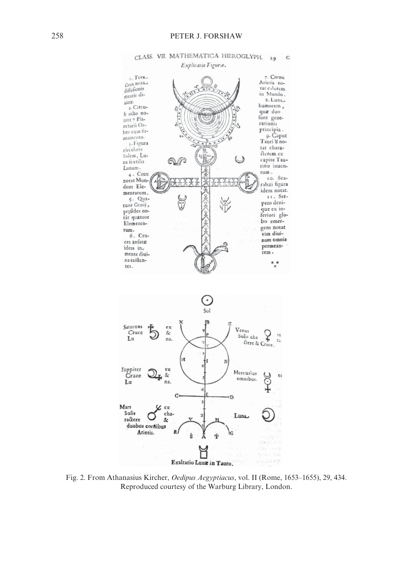## 258 PETER J. FORSHAW



Fig. 2. From Athanasius Kircher, *Oedipus Aegyptiacus*, vol. II (Rome, 1653–1655), 29, 434. Reproduced courtesy of the Warburg Library, London.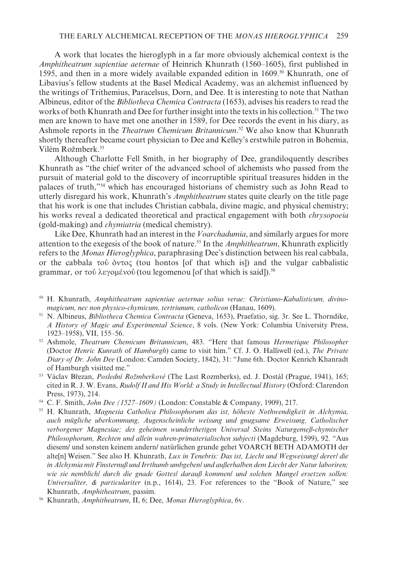A work that locates the hieroglyph in a far more obviously alchemical context is the *Amphitheatrum sapientiae aeternae* of Heinrich Khunrath (1560–1605), first published in 1595, and then in a more widely available expanded edition in 1609.<sup>50</sup> Khunrath, one of Libavius's fellow students at the Basel Medical Academy, was an alchemist influenced by the writings of Trithemius, Paracelsus, Dorn, and Dee. It is interesting to note that Nathan Albineus, editor of the *Bibliotheca Chemica Contracta* (1653), advises his readers to read the works of both Khunrath and Dee for further insight into the texts in his collection.51 The two men are known to have met one another in 1589, for Dee records the event in his diary, as Ashmole reports in the *Theatrum Chemicum Britannicum*. 52 We also know that Khunrath shortly thereafter became court physician to Dee and Kelley's erstwhile patron in Bohemia, Vilém Rožmberk.<sup>53</sup>

Although Charlotte Fell Smith, in her biography of Dee, grandiloquently describes Khunrath as "the chief writer of the advanced school of alchemists who passed from the pursuit of material gold to the discovery of incorruptible spiritual treasures hidden in the palaces of truth,"54 which has encouraged historians of chemistry such as John Read to utterly disregard his work, Khunrath's *Amphitheatrum* states quite clearly on the title page that his work is one that includes Christian cabbala, divine magic, and physical chemistry; his works reveal a dedicated theoretical and practical engagement with both *chrysopoeia* (gold-making) and *chymiatria* (medical chemistry).

Like Dee, Khunrath had an interest in the *Voarchadumia*, and similarly argues for more attention to the exegesis of the book of nature.55 In the *Amphitheatrum*, Khunrath explicitly refers to the *Monas Hieroglyphica*, paraphrasing Dee's distinction between his real cabbala, or the cabbala toù ovtoc (tou hontos [of that which is]) and the vulgar cabbalistic grammar, or to  $\delta \text{ }k$  evolve  $\delta$  (tou legomenou [of that which is said]).<sup>56</sup>

- <sup>50</sup> H. Khunrath, *Amphitheatrum sapientiae aeternae solius verae: Christiano-Kabalisticum, divinomagicum, nec non physico-chymicum, tertriunum, catholicon* (Hanau, 1609).
- <sup>51</sup> N. Albineus, *Bibliotheca Chemica Contracta* (Geneva, 1653), Praefatio, sig. 3r. See L. Thorndike, *A History of Magic and Experimental Science*, 8 vols. (New York: Columbia University Press, 1923–1958), VII, 155–56.
- <sup>52</sup> Ashmole, *Theatrum Chemicum Britannicum*, 483. "Here that famous *Hermetique Philosopher* (Doctor *Henric Kunrath* of *Hamburgh*) came to visit him." Cf. J. O. Halliwell (ed.), *The Private Diary of Dr. John Dee* (London: Camden Society, 1842), 31: "June 6th. Doctor Kenrich Khanradt of Hamburgh visitted me."
- <sup>53</sup> Václav Březan, *Poslední Rožmberkové* (The Last Rozmberks), ed. J. Dostál (Prague, 1941), 165; cited in R. J. W. Evans, *Rudolf II and His World: a Study in Intellectual History* (Oxford: Clarendon Press, 1973), 214.
- <sup>54</sup> C. F. Smith, *John Dee (1527–1609)* (London: Constable & Company, 1909), 217.
- <sup>55</sup> H. Khunrath, *Magnesia Catholica Philosophorum das ist, höheste Nothwendigkeit in Alchymia, auch mügliche uberkommung, Augenscheinliche weisung und gnugsame Erweisung, Catholischer verborgener Magnesiae; des geheimen wunderthetigen Universal Steins Naturgemeß-chymischer Philosophorum, Rechten und allein wahren-primaterialischen subjecti* (Magdeburg, 1599), 92. "Aus diesem/ und sonsten keinem andern/ natürlichen grunde gehet VOARCH BETH ADAMOTH der alte[n] Weisen." See also H. Khunrath, *Lux in Tenebris: Das ist, Liecht und Wegweisung/ derer/ die in Alchymia mit Finsternuß und Irrthumb umbgeben/ und außerhalben dem Liecht der Natur laboriren; wie sie nemblich/ durch die gnade Gottes/ darauß kommen/ und solchen Mangel ersetzen sollen: Universaliter, & particulariter* (n.p., 1614), 23. For references to the "Book of Nature," see Khunrath, *Amphitheatrum*, passim.
- <sup>56</sup> Khunrath, *Amphitheatrum*, II, 6; Dee, *Monas Hieroglyphica*, 6v.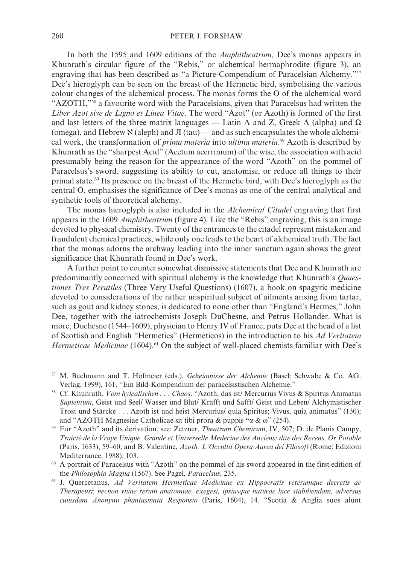In both the 1595 and 1609 editions of the *Amphitheatrum*, Dee's monas appears in Khunrath's circular figure of the "Rebis," or alchemical hermaphrodite (figure 3), an engraving that has been described as "a Picture-Compendium of Paracelsian Alchemy."57 Dee's hieroglyph can be seen on the breast of the Hermetic bird, symbolising the various colour changes of the alchemical process. The monas forms the O of the alchemical word "AZOTH,"58 a favourite word with the Paracelsians, given that Paracelsus had written the *Liber Azot sive de Ligno et Linea Vitae*. The word "Azot" (or Azoth) is formed of the first and last letters of the three matrix languages — Latin A and Z, Greek A (alpha) and  $\Omega$ (omega), and Hebrew  $\aleph$  (aleph) and  $\pi$  (tau) — and as such encapsulates the whole alchemical work, the transformation of *prima materia* into *ultima materia*. 59 Azoth is described by Khunrath as the "sharpest Acid" (Acetum acerrimum) of the wise, the association with acid presumably being the reason for the appearance of the word "Azoth" on the pommel of Paracelsus's sword, suggesting its ability to cut, anatomise, or reduce all things to their primal state.60 Its presence on the breast of the Hermetic bird, with Dee's hieroglyph as the central O, emphasises the significance of Dee's monas as one of the central analytical and synthetic tools of theoretical alchemy.

The monas hieroglyph is also included in the *Alchemical Citadel* engraving that first appears in the 1609 *Amphitheatrum* (figure 4). Like the "Rebis" engraving, this is an image devoted to physical chemistry. Twenty of the entrances to the citadel represent mistaken and fraudulent chemical practices, while only one leads to the heart of alchemical truth. The fact that the monas adorns the archway leading into the inner sanctum again shows the great significance that Khunrath found in Dee's work.

A further point to counter somewhat dismissive statements that Dee and Khunrath are predominantly concerned with spiritual alchemy is the knowledge that Khunrath's *Quaestiones Tres Perutiles* (Three Very Useful Questions) (1607), a book on spagyric medicine devoted to considerations of the rather unspiritual subject of ailments arising from tartar, such as gout and kidney stones, is dedicated to none other than "England's Hermes," John Dee, together with the iatrochemists Joseph DuChesne, and Petrus Hollander. What is more, Duchesne (1544–1609), physician to Henry IV of France, puts Dee at the head of a list of Scottish and English "Hermetics" (Hermeticos) in the introduction to his *Ad Veritatem Hermeticae Medicinae* (1604).<sup>61</sup> On the subject of well-placed chemists familiar with Dee's

- <sup>57</sup> M. Bachmann and T. Hofmeier (eds.), *Geheimnisse der Alchemie* (Basel: Schwabe & Co. AG. Verlag, 1999), 161. "Ein Bild-Kompendium der paracelsistischen Alchemie."
- <sup>58</sup> Cf. Khunrath, *Vom hylealischen . . . Chaos*. "Azoth, das ist/ Mercurius Vivus & Spiritus Animatus *Sapientum*, Geist und Seel/ Wasser und Blut/ Krafft und Safft/ Geist und Leben/ Alchymistischer Trost und Stärcke . . . Azoth ist und heist Mercurius/ quia Spiritus; Vivus, quia animatus" (130); and "AZOTH Magnesiae Catholicae sit tibi prora & puppis " $\alpha$  &  $\omega$ " (254).
- <sup>59</sup> For "Azoth" and its derivation, see: Zetzner, *Theatrum Chemicum*, IV, 507; D. de Planis Campy, *Traicté de la Vraye Unique, Grande et Universelle Medecine des Anciens; dite des Recens, Or Potable* (Paris, 1633), 59–60; and B. Valentine, *Azoth: L'Occulta Opera Aurea dei Filosofi* (Rome: Edizioni Mediterranee, 1988), 103.
- <sup>60</sup> A portrait of Paracelsus with "Azoth" on the pommel of his sword appeared in the first edition of the *Philosophia Magna* (1567). See Pagel, *Paracelsus*, 235.
- <sup>61</sup> J. Quercetanus, *Ad Veritatem Hermeticae Medicinae ex Hippocratis veterumque decretis ac Therapeusi*: *necnon viuae rerum anatomiae, exegesi, ipsiusque naturae luce stabiliendam, adversus cuiusdam Anonymi phantasmata Responsio* (Paris, 1604), 14. "Scotia & Anglia suos alunt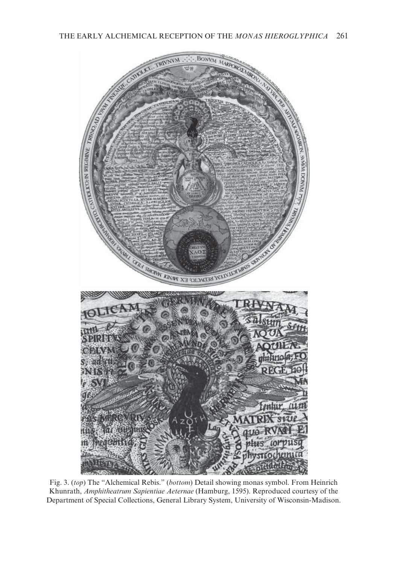

Fig. 3. (*top*) The "Alchemical Rebis." (*bottom*) Detail showing monas symbol. From Heinrich Khunrath, *Amphitheatrum Sapientiae Aeternae* (Hamburg, 1595). Reproduced courtesy of the Department of Special Collections, General Library System, University of Wisconsin-Madison.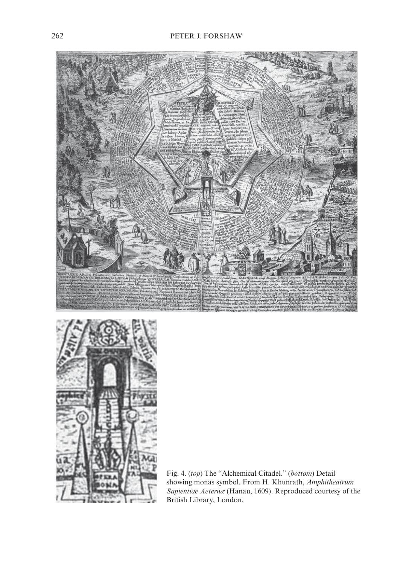



Fig. 4. (*top*) The "Alchemical Citadel." (*bottom*) Detail showing monas symbol. From H. Khunrath, *Amphitheatrum Sapientiae Aeternæ* (Hanau, 1609). Reproduced courtesy of the British Library, London.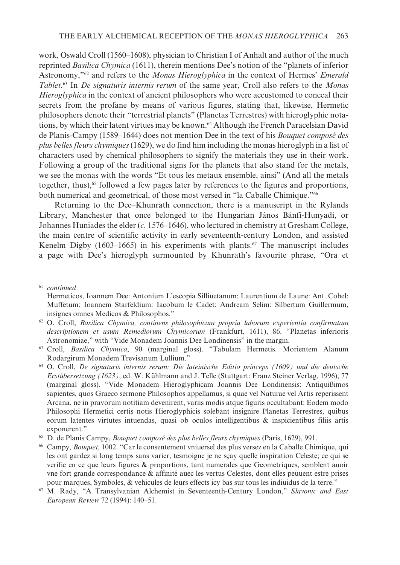work, Oswald Croll (1560–1608), physician to Christian I of Anhalt and author of the much reprinted *Basilica Chymica* (1611), therein mentions Dee's notion of the "planets of inferior Astronomy,"62 and refers to the *Monas Hieroglyphica* in the context of Hermes' *Emerald Tablet*. 63 In *De signaturis internis rerum* of the same year, Croll also refers to the *Monas Hieroglyphica* in the context of ancient philosophers who were accustomed to conceal their secrets from the profane by means of various figures, stating that, likewise, Hermetic philosophers denote their "terrestrial planets" (Planetas Terrestres) with hieroglyphic notations, by which their latent virtues may be known.64 Although the French Paracelsian David de Planis-Campy (1589–1644) does not mention Dee in the text of his *Bouquet composé des plus belles fleurs chymiques* (1629), we do find him including the monas hieroglyph in a list of characters used by chemical philosophers to signify the materials they use in their work. Following a group of the traditional signs for the planets that also stand for the metals, we see the monas with the words "Et tous les metaux ensemble, ainsi" (And all the metals together, thus),<sup>65</sup> followed a few pages later by references to the figures and proportions, both numerical and geometrical, of those most versed in "la Caballe Chimique."<sup>66</sup>

Returning to the Dee–Khunrath connection, there is a manuscript in the Rylands Library, Manchester that once belonged to the Hungarian János Bánfi-Hunyadi, or Johannes Huniades the elder (*c.* 1576–1646), who lectured in chemistry at Gresham College, the main centre of scientific activity in early seventeenth-century London, and assisted Kenelm Digby  $(1603-1665)$  in his experiments with plants.<sup>67</sup> The manuscript includes a page with Dee's hieroglyph surmounted by Khunrath's favourite phrase, "Ora et

- <sup>62</sup> O. Croll, *Basilica Chymica, continens philosophicam propria laborum experientia confirmatam descriptionem et usum Remediorum Chymicorum* (Frankfurt, 1611), 86. "Planetas inferioris Astronomiae," with "Vide Monadem Joannis Dee Londinensis" in the margin.
- <sup>63</sup> Croll, *Basilica Chymica*, 90 (marginal gloss). "Tabulam Hermetis. Morientem Alanum Rodargirum Monadem Trevisanum Lullium."
- <sup>64</sup> O. Croll, *De signaturis internis rerum: Die lateinische Editio princeps (1609) und die deutsche Erstübersetzung (1623)*, ed. W. Kühlmann and J. Telle (Stuttgart: Franz Steiner Verlag, 1996), 77 (marginal gloss). "Vide Monadem Hieroglyphicam Joannis Dee Londinensis: Antiquißimos sapientes, quos Graeco sermone Philosophos appellamus, si quae vel Naturae vel Artis reperissent Arcana, ne in pravorum notitiam devenirent, variis modis atque figuris occultabant: Eodem modo Philosophi Hermetici certis notis Hieroglyphicis solebant insignire Planetas Terrestres, quibus eorum latentes virtutes intuendas, quasi ob oculos intelligentibus & inspicientibus filiis artis exponerent."
- <sup>65</sup> D. de Planis Campy, *Bouquet composé des plus belles fleurs chymiques* (Paris, 1629), 991.
- <sup>66</sup> Campy, *Bouquet*, 1002. "Car le consentement vniuersel des plus versez en la Caballe Chimique, qui les ont gardez si long temps sans varier, tesmoigne je ne sçay quelle inspiration Celeste; ce qui se verifie en ce que leurs figures & proportions, tant numerales que Geometriques, semblent auoir vne fort grande correspondance & affinité auec les vertus Celestes, dont elles peuuent estre prises pour marques, Symboles, & vehicules de leurs effects icy bas sur tous les indiuidus de la terre."
- <sup>67</sup> M. Rady, "A Transylvanian Alchemist in Seventeenth-Century London," *Slavonic and East European Review* 72 (1994): 140–51.

<sup>61</sup> *continued*

Hermeticos, Ioannem Dee: Antonium L'escopia Silliuetanum: Laurentium de Laune: Ant. Cobel: Muffetum: Ioannem Starfeldium: Iacobum le Cadet: Andream Selim: Silbertum Guillermum, insignes omnes Medicos & Philosophos."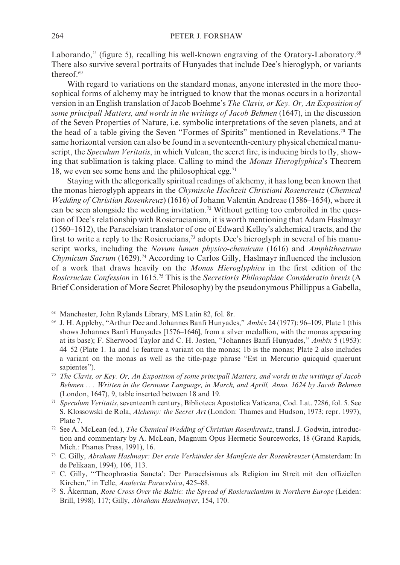Laborando," (figure 5), recalling his well-known engraving of the Oratory-Laboratory.<sup>68</sup> There also survive several portraits of Hunyades that include Dee's hieroglyph, or variants thereof.69

With regard to variations on the standard monas, anyone interested in the more theosophical forms of alchemy may be intrigued to know that the monas occurs in a horizontal version in an English translation of Jacob Boehme's *The Clavis, or Key. Or, An Exposition of some principall Matters, and words in the writings of Jacob Behmen* (1647), in the discussion of the Seven Properties of Nature, i.e. symbolic interpretations of the seven planets, and at the head of a table giving the Seven "Formes of Spirits" mentioned in Revelations.70 The same horizontal version can also be found in a seventeenth-century physical chemical manuscript, the *Speculum Veritatis*, in which Vulcan, the secret fire, is inducing birds to fly, showing that sublimation is taking place. Calling to mind the *Monas Hieroglyphica*'s Theorem 18, we even see some hens and the philosophical egg.<sup>71</sup>

Staying with the allegorically spiritual readings of alchemy, it has long been known that the monas hieroglyph appears in the *Chymische Hochzeit Christiani Rosencreutz* (*Chemical Wedding of Christian Rosenkreuz*) (1616) of Johann Valentin Andreae (1586–1654), where it can be seen alongside the wedding invitation.<sup>72</sup> Without getting too embroiled in the question of Dee's relationship with Rosicrucianism, it is worth mentioning that Adam Haslmayr (1560–1612), the Paracelsian translator of one of Edward Kelley's alchemical tracts, and the first to write a reply to the Rosicrucians,<sup>73</sup> adopts Dee's hieroglyph in several of his manuscript works, including the *Novum lumen physico-chemicum* (1616) and *Amphitheatrum Chymicum Sacrum* (1629).<sup>74</sup> According to Carlos Gilly, Haslmayr influenced the inclusion of a work that draws heavily on the *Monas Hieroglyphica* in the first edition of the *Rosicrucian Confession* in 1615.75 This is the *Secretioris Philosophiae Consideratio brevis* (A Brief Consideration of More Secret Philosophy) by the pseudonymous Phillippus a Gabella,

- <sup>69</sup> J. H. Appleby, "Arthur Dee and Johannes Banfi Hunyades," *Ambix* 24 (1977): 96–109, Plate 1 (this shows Johannes Banfi Hunyades [1576–1646], from a silver medallion, with the monas appearing at its base); F. Sherwood Taylor and C. H. Josten, "Johannes Banfi Hunyades," *Ambix* 5 (1953): 44–52 (Plate 1. 1a and 1c feature a variant on the monas; 1b is the monas; Plate 2 also includes a variant on the monas as well as the title-page phrase "Est in Mercurio quicquid quaerunt sapientes").
- <sup>70</sup> *The Clavis, or Key. Or, An Exposition of some principall Matters, and words in the writings of Jacob Behmen . . . Written in the Germane Language, in March, and Aprill, Anno. 1624 by Jacob Behmen* (London, 1647), 9, table inserted between 18 and 19.
- <sup>71</sup> *Speculum Veritatis*, seventeenth century, Biblioteca Apostolica Vaticana, Cod. Lat. 7286, fol. 5. See S. Klossowski de Rola, *Alchemy: the Secret Art* (London: Thames and Hudson, 1973; repr. 1997), Plate 7.
- <sup>72</sup> See A. McLean (ed.), *The Chemical Wedding of Christian Rosenkreutz*, transl. J. Godwin, introduction and commentary by A. McLean, Magnum Opus Hermetic Sourceworks, 18 (Grand Rapids, Mich.: Phanes Press, 1991), 16.
- <sup>73</sup> C. Gilly, *Abraham Haslmayr: Der erste Verkünder der Manifeste der Rosenkreuzer* (Amsterdam: In de Pelikaan, 1994), 106, 113.
- <sup>74</sup> C. Gilly, "'Theophrastia Sancta': Der Paracelsismus als Religion im Streit mit den offiziellen Kirchen," in Telle, *Analecta Paracelsica*, 425–88.
- <sup>75</sup> S. Åkerman, *Rose Cross Over the Baltic: the Spread of Rosicrucianism in Northern Europe* (Leiden: Brill, 1998), 117; Gilly, *Abraham Haselmayer*, 154, 170.

<sup>68</sup> Manchester, John Rylands Library, MS Latin 82, fol. 8r.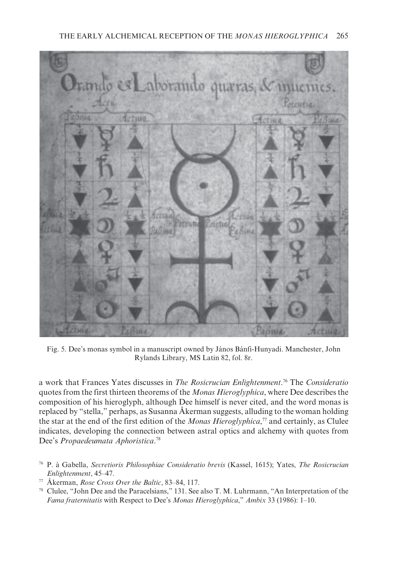

Fig. 5. Dee's monas symbol in a manuscript owned by János Bánfi-Hunyadi. Manchester, John Rylands Library, MS Latin 82, fol. 8r.

a work that Frances Yates discusses in *The Rosicrucian Enlightenment*. 76 The *Consideratio* quotes from the first thirteen theorems of the *Monas Hieroglyphica*, where Dee describes the composition of his hieroglyph, although Dee himself is never cited, and the word monas is replaced by "stella," perhaps, as Susanna Åkerman suggests, alluding to the woman holding the star at the end of the first edition of the *Monas Hieroglyphica*, 77 and certainly, as Clulee indicates, developing the connection between astral optics and alchemy with quotes from Dee's *Propaedeumata Aphoristica*. 78

- <sup>76</sup> P. à Gabella, *Secretioris Philosophiae Consideratio brevis* (Kassel, 1615); Yates, *The Rosicrucian Enlightenment*, 45–47.
- <sup>77</sup> Åkerman, *Rose Cross Over the Baltic*, 83–84, 117.
- <sup>78</sup> Clulee, "John Dee and the Paracelsians," 131. See also T. M. Luhrmann, "An Interpretation of the *Fama fraternitatis* with Respect to Dee's *Monas Hieroglyphica*," *Ambix* 33 (1986): 1–10.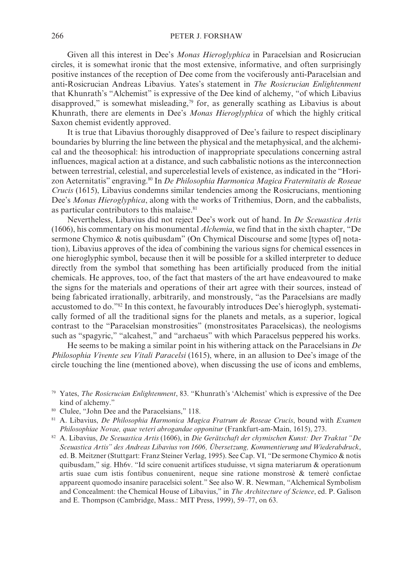Given all this interest in Dee's *Monas Hieroglyphica* in Paracelsian and Rosicrucian circles, it is somewhat ironic that the most extensive, informative, and often surprisingly positive instances of the reception of Dee come from the vociferously anti-Paracelsian and anti-Rosicrucian Andreas Libavius. Yates's statement in *The Rosicrucian Enlightenment* that Khunrath's "Alchemist" is expressive of the Dee kind of alchemy, "of which Libavius disapproved," is somewhat misleading,79 for, as generally scathing as Libavius is about Khunrath, there are elements in Dee's *Monas Hieroglyphica* of which the highly critical Saxon chemist evidently approved.

It is true that Libavius thoroughly disapproved of Dee's failure to respect disciplinary boundaries by blurring the line between the physical and the metaphysical, and the alchemical and the theosophical: his introduction of inappropriate speculations concerning astral influences, magical action at a distance, and such cabbalistic notions as the interconnection between terrestrial, celestial, and supercelestial levels of existence, as indicated in the "Horizon Aeternitatis" engraving.80 In *De Philosophia Harmonica Magica Fraternitatis de Roseae Crucis* (1615), Libavius condemns similar tendencies among the Rosicrucians, mentioning Dee's *Monas Hieroglyphica*, along with the works of Trithemius, Dorn, and the cabbalists, as particular contributors to this malaise.<sup>81</sup>

Nevertheless, Libavius did not reject Dee's work out of hand. In *De Sceuastica Artis* (1606), his commentary on his monumental *Alchemia*, we find that in the sixth chapter, "De sermone Chymico & notis quibusdam" (On Chymical Discourse and some [types of] notation), Libavius approves of the idea of combining the various signs for chemical essences in one hieroglyphic symbol, because then it will be possible for a skilled interpreter to deduce directly from the symbol that something has been artificially produced from the initial chemicals. He approves, too, of the fact that masters of the art have endeavoured to make the signs for the materials and operations of their art agree with their sources, instead of being fabricated irrationally, arbitrarily, and monstrously, "as the Paracelsians are madly accustomed to do."82 In this context, he favourably introduces Dee's hieroglyph, systematically formed of all the traditional signs for the planets and metals, as a superior, logical contrast to the "Paracelsian monstrosities" (monstrositates Paracelsicas), the neologisms such as "spagyric," "alcahest," and "archaeus" with which Paracelsus peppered his works.

He seems to be making a similar point in his withering attack on the Paracelsians in *De Philosophia Vivente seu Vitali Paracelsi* (1615), where, in an allusion to Dee's image of the circle touching the line (mentioned above), when discussing the use of icons and emblems,

<sup>80</sup> Clulee, "John Dee and the Paracelsians," 118.

<sup>82</sup> A. Libavius, *De Sceuastica Artis* (1606), in *Die Gerätschaft der chymischen Kunst: Der Traktat "De Sceuastica Artis" des Andreas Libavius von 1606, Übersetzung, Kommentierung und Wiederabdruck*, ed. B. Meitzner (Stuttgart: Franz Steiner Verlag, 1995). See Cap. VI, "De sermone Chymico & notis quibusdam," sig. Hh6v. "Id scire conuenit artifices studuisse, vt signa materiarum & operationum artis suae cum istis fontibus conuenirent, neque sine ratione monstrosè & temerè confictae appareent quomodo insanire paracelsici solent." See also W. R. Newman, "Alchemical Symbolism and Concealment: the Chemical House of Libavius," in *The Architecture of Science*, ed. P. Galison and E. Thompson (Cambridge, Mass.: MIT Press, 1999), 59–77, on 63.

<sup>79</sup> Yates, *The Rosicrucian Enlightenment*, 83. "Khunrath's 'Alchemist' which is expressive of the Dee kind of alchemy."

<sup>81</sup> A. Libavius, *De Philosophia Harmonica Magica Fratrum de Roseae Crucis*, bound with *Examen Philosophiae Novae, quae veteri abrogandae opponitur* (Frankfurt-am-Main, 1615), 273.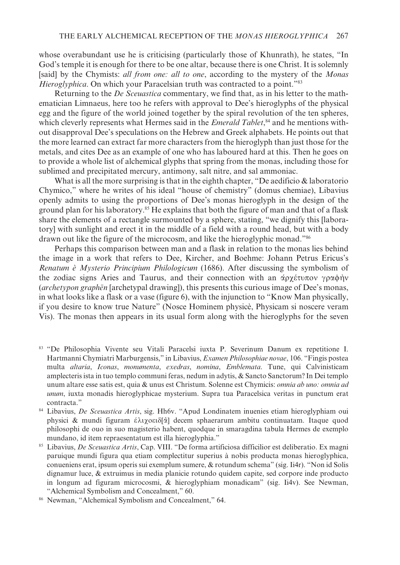whose overabundant use he is criticising (particularly those of Khunrath), he states, "In God's temple it is enough for there to be one altar, because there is one Christ. It is solemnly [said] by the Chymists: *all from one: all to one*, according to the mystery of the *Monas Hieroglyphica*. On which your Paracelsian truth was contracted to a point."<sup>83</sup>

Returning to the *De Sceuastica* commentary, we find that, as in his letter to the mathematician Limnaeus, here too he refers with approval to Dee's hieroglyphs of the physical egg and the figure of the world joined together by the spiral revolution of the ten spheres, which cleverly represents what Hermes said in the *Emerald Tablet*,<sup>84</sup> and he mentions without disapproval Dee's speculations on the Hebrew and Greek alphabets. He points out that the more learned can extract far more characters from the hieroglyph than just those for the metals, and cites Dee as an example of one who has laboured hard at this. Then he goes on to provide a whole list of alchemical glyphs that spring from the monas, including those for sublimed and precipitated mercury, antimony, salt nitre, and sal ammoniac.

What is all the more surprising is that in the eighth chapter, "De aedificio & laboratorio Chymico," where he writes of his ideal "house of chemistry" (domus chemiae), Libavius openly admits to using the proportions of Dee's monas hieroglyph in the design of the ground plan for his laboratory.85 He explains that both the figure of man and that of a flask share the elements of a rectangle surmounted by a sphere, stating, "we dignify this [laboratory] with sunlight and erect it in the middle of a field with a round head, but with a body drawn out like the figure of the microcosm, and like the hieroglyphic monad."86

Perhaps this comparison between man and a flask in relation to the monas lies behind the image in a work that refers to Dee, Kircher, and Boehme: Johann Petrus Ericus's *Renatum è Mysterio Principium Philologicum* (1686). After discussing the symbolism of the zodiac signs Aries and Taurus, and their connection with an  $\alpha \rho \chi \epsilon \tau \nu \pi \sigma \nu \rho \alpha \phi \eta \nu$ (*archetypon graphe*r*n* [archetypal drawing]), this presents this curious image of Dee's monas, in what looks like a flask or a vase (figure 6), with the injunction to "Know Man physically, if you desire to know true Nature" (Nosce Hominem physicè, Physicam si noscere veram Vis). The monas then appears in its usual form along with the hieroglyphs for the seven

- <sup>83</sup> "De Philosophia Vivente seu Vitali Paracelsi iuxta P. Severinum Danum ex repetitione I. Hartmanni Chymiatri Marburgensis," in Libavius, *Examen Philosophiae novae*, 106. "Fingis postea multa *altaria*, *Iconas*, *monumenta*, *exedras*, *nomina*, *Emblemata*. Tune, qui Calvinisticam amplecteris ista in tuo templo communi feras, nedum in adytis, & Sancto Sanctorum? In Dei templo unum altare esse satis est, quia & unus est Christum. Solenne est Chymicis: *omnia ab uno: omnia ad unum*, iuxta monadis hieroglyphicae mysterium. Supra tua Paracelsica veritas in punctum erat contracta."
- <sup>84</sup> Libavius, *De Sceuastica Artis*, sig. Hh6v. "Apud Londinatem inuenies etiam hieroglyphiam oui physici & mundi figuram  $\epsilon \lambda \chi$ o $\epsilon \delta \alpha$ ] decem sphaerarum ambitu continuatam. Itaque quod philosophi de ouo in suo magisterio habent, quodque in smaragdina tabula Hermes de exemplo mundano, id item repraesentatum est illa hieroglyphia."
- <sup>85</sup> Libavius, *De Sceuastica Artis*, Cap. VIII. "De forma artificiosa difficilior est deliberatio. Ex magni paruique mundi figura qua etiam complectitur superius à nobis producta monas hieroglyphica, conueniens erat, ipsum operis sui exemplum sumere, & rotundum schema" (sig. Ii4r). "Non id Solis dignamur luce, & extruimus in media planicie rotundo quidem capite, sed corpore inde producto in longum ad figuram microcosmi, & hieroglyphiam monadicam" (sig. Ii4v). See Newman, "Alchemical Symbolism and Concealment," 60.

<sup>86</sup> Newman, "Alchemical Symbolism and Concealment," 64.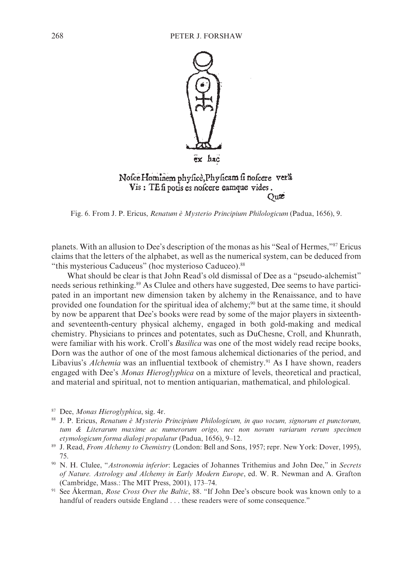

Nofce Hominem phyfice, Phyficam fi nofcere verä Vis: TEfi potis es nofcere eamque vides. Quz

Fig. 6. From J. P. Ericus, *Renatum è Mysterio Principium Philologicum* (Padua, 1656), 9.

planets. With an allusion to Dee's description of the monas as his "Seal of Hermes,"87 Ericus claims that the letters of the alphabet, as well as the numerical system, can be deduced from "this mysterious Caduceus" (hoc mysterioso Caduceo).<sup>88</sup>

What should be clear is that John Read's old dismissal of Dee as a "pseudo-alchemist" needs serious rethinking.<sup>89</sup> As Clulee and others have suggested, Dee seems to have participated in an important new dimension taken by alchemy in the Renaissance, and to have provided one foundation for the spiritual idea of alchemy; $90$  but at the same time, it should by now be apparent that Dee's books were read by some of the major players in sixteenthand seventeenth-century physical alchemy, engaged in both gold-making and medical chemistry. Physicians to princes and potentates, such as DuChesne, Croll, and Khunrath, were familiar with his work. Croll's *Basilica* was one of the most widely read recipe books, Dorn was the author of one of the most famous alchemical dictionaries of the period, and Libavius's *Alchemia* was an influential textbook of chemistry.<sup>91</sup> As I have shown, readers engaged with Dee's *Monas Hieroglyphica* on a mixture of levels, theoretical and practical, and material and spiritual, not to mention antiquarian, mathematical, and philological.

- <sup>88</sup> J. P. Ericus, *Renatum è Mysterio Principium Philologicum, in quo vocum, signorum et punctorum, tum & Literarum maxime ac numerorum origo, nec non novum variarum rerum specimen etymologicum forma dialogi propalatur* (Padua, 1656), 9–12.
- <sup>89</sup> J. Read, *From Alchemy to Chemistry* (London: Bell and Sons, 1957; repr. New York: Dover, 1995), 75.
- <sup>90</sup> N. H. Clulee, "*Astronomia inferior*: Legacies of Johannes Trithemius and John Dee," in *Secrets of Nature. Astrology and Alchemy in Early Modern Europe*, ed. W. R. Newman and A. Grafton (Cambridge, Mass.: The MIT Press, 2001), 173–74.
- <sup>91</sup> See Åkerman, *Rose Cross Over the Baltic*, 88. "If John Dee's obscure book was known only to a handful of readers outside England . . . these readers were of some consequence."

<sup>87</sup> Dee, *Monas Hieroglyphica*, sig. 4r.